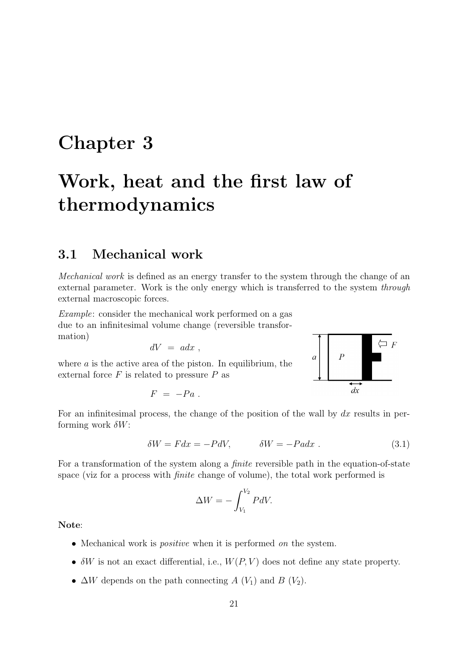# Chapter 3

# Work, heat and the first law of thermodynamics

## 3.1 Mechanical work

Mechanical work is defined as an energy transfer to the system through the change of an external parameter. Work is the only energy which is transferred to the system through external macroscopic forces.

Example: consider the mechanical work performed on a gas due to an infinitesimal volume change (reversible transformation)

$$
dV = a dx ,
$$

where  $a$  is the active area of the piston. In equilibrium, the external force  $F$  is related to pressure  $P$  as

$$
F = -Pa \; .
$$



For an infinitesimal process, the change of the position of the wall by  $dx$  results in performing work  $\delta W$ :

$$
\delta W = F dx = -P dV, \qquad \delta W = -P a dx \tag{3.1}
$$

For a transformation of the system along a *finite* reversible path in the equation-of-state space (viz for a process with finite change of volume), the total work performed is

$$
\Delta W = -\int_{V_1}^{V_2} P dV.
$$

Note:

- Mechanical work is *positive* when it is performed *on* the system.
- $\delta W$  is not an exact differential, i.e.,  $W(P, V)$  does not define any state property.
- $\Delta W$  depends on the path connecting A (V<sub>1</sub>) and B (V<sub>2</sub>).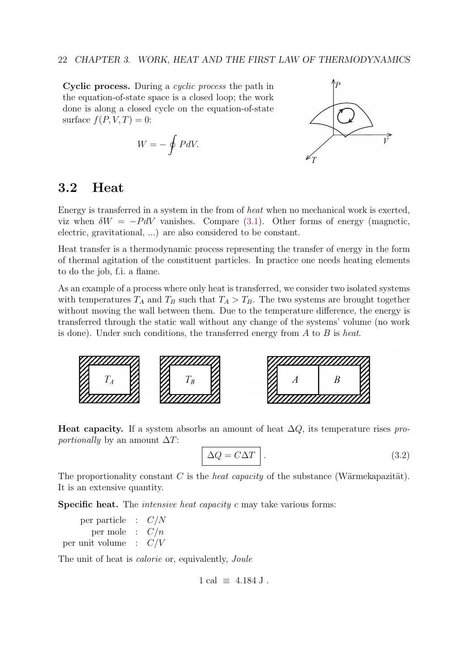Cyclic process. During a cyclic process the path in the equation-of-state space is a closed loop; the work done is along a closed cycle on the equation-of-state surface  $f(P, V, T) = 0$ :

$$
W = -\oint P dV.
$$



## 3.2 Heat

Energy is transferred in a system in the from of heat when no mechanical work is exerted, viz when  $\delta W = -P dV$  vanishes. Compare (3.1). Other forms of energy (magnetic, electric, gravitational, ...) are also considered to be constant.

Heat transfer is a thermodynamic process representing the transfer of energy in the form of thermal agitation of the constituent particles. In practice one needs heating elements to do the job, f.i. a flame.

As an example of a process where only heat is transferred, we consider two isolated systems with temperatures  $T_A$  and  $T_B$  such that  $T_A > T_B$ . The two systems are brought together without moving the wall between them. Due to the temperature difference, the energy is transferred through the static wall without any change of the systems' volume (no work is done). Under such conditions, the transferred energy from  $A$  to  $B$  is heat.



**Heat capacity.** If a system absorbs an amount of heat  $\Delta Q$ , its temperature rises pro*portionally* by an amount  $\Delta T$ :

$$
\Delta Q = C \Delta T \quad . \tag{3.2}
$$

The proportionality constant C is the heat capacity of the substance (Wärmekapazität). It is an extensive quantity.

Specific heat. The *intensive heat capacity c* may take various forms:

per particle :  $C/N$ per mole :  $C/n$ per unit volume :  $C/V$ 

The unit of heat is *calorie* or, equivalently, *Joule* 

 $1 \text{ cal } \equiv 4.184 \text{ J}.$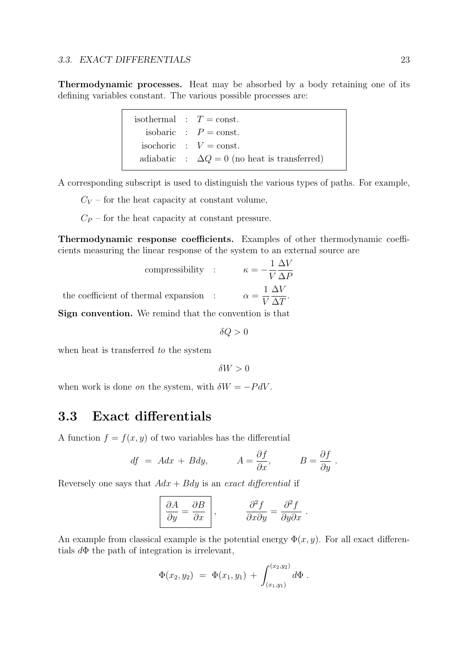Thermodynamic processes. Heat may be absorbed by a body retaining one of its defining variables constant. The various possible processes are:

|  | isothermal : $T = \text{const.}$                    |
|--|-----------------------------------------------------|
|  | isobaric : $P = \text{const.}$                      |
|  | isochoric : $V = \text{const.}$                     |
|  | adiabatic : $\Delta Q = 0$ (no heat is transferred) |

A corresponding subscript is used to distinguish the various types of paths. For example,

 $C_V$  – for the heat capacity at constant volume,

 $C_P$  – for the heat capacity at constant pressure.

Thermodynamic response coefficients. Examples of other thermodynamic coefficients measuring the linear response of the system to an external source are

compressibility : 
$$
\kappa = -\frac{1}{V} \frac{\Delta V}{\Delta P}
$$
  
the coefficient of thermal expansion :  $\alpha = \frac{1}{V} \frac{\Delta V}{\Delta T}$ .  
Using equation. We remind that the convention is that

Sign convention. We remind that the convention is that

 $\delta Q > 0$ 

when heat is transferred to the system

 $\delta W > 0$ 

when work is done *on* the system, with  $\delta W = -P dV$ .

# 3.3 Exact differentials

A function  $f = f(x, y)$  of two variables has the differential

$$
df = A dx + B dy, \qquad A = \frac{\partial f}{\partial x}, \qquad B = \frac{\partial f}{\partial y}.
$$

Reversely one says that  $Adx + Bdy$  is an exact differential if

$$
\left| \frac{\partial A}{\partial y} = \frac{\partial B}{\partial x} \right|, \qquad \frac{\partial^2 f}{\partial x \partial y} = \frac{\partial^2 f}{\partial y \partial x}.
$$

An example from classical example is the potential energy  $\Phi(x, y)$ . For all exact differentials  $d\Phi$  the path of integration is irrelevant,

$$
\Phi(x_2, y_2) = \Phi(x_1, y_1) + \int_{(x_1, y_1)}^{(x_2, y_2)} d\Phi.
$$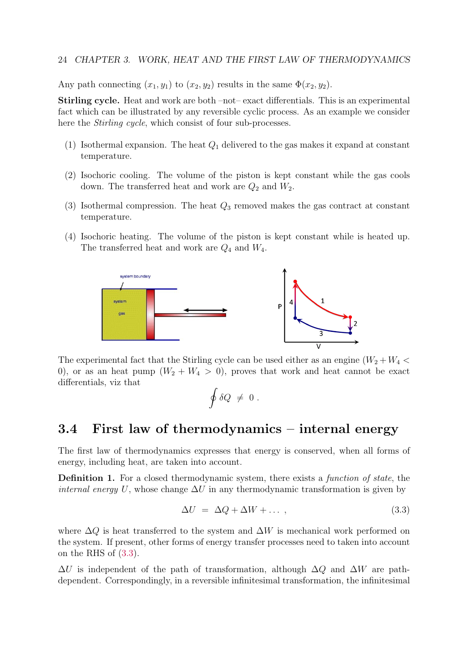#### 24 CHAPTER 3. WORK, HEAT AND THE FIRST LAW OF THERMODYNAMICS

Any path connecting  $(x_1, y_1)$  to  $(x_2, y_2)$  results in the same  $\Phi(x_2, y_2)$ .

Stirling cycle. Heat and work are both –not– exact differentials. This is an experimental fact which can be illustrated by any reversible cyclic process. As an example we consider here the *Stirling cycle*, which consist of four sub-processes.

- (1) Isothermal expansion. The heat  $Q_1$  delivered to the gas makes it expand at constant temperature.
- (2) Isochoric cooling. The volume of the piston is kept constant while the gas cools down. The transferred heat and work are  $Q_2$  and  $W_2$ .
- (3) Isothermal compression. The heat  $Q_3$  removed makes the gas contract at constant temperature.
- (4) Isochoric heating. The volume of the piston is kept constant while is heated up. The transferred heat and work are  $Q_4$  and  $W_4$ .



The experimental fact that the Stirling cycle can be used either as an engine  $(W_2 + W_4 <$ 0), or as an heat pump  $(W_2 + W_4 > 0)$ , proves that work and heat cannot be exact differentials, viz that

$$
\oint \delta Q \; \neq \; 0 \; .
$$

# 3.4 First law of thermodynamics – internal energy

The first law of thermodynamics expresses that energy is conserved, when all forms of energy, including heat, are taken into account.

Definition 1. For a closed thermodynamic system, there exists a *function of state*, the *internal energy U*, whose change  $\Delta U$  in any thermodynamic transformation is given by

$$
\Delta U = \Delta Q + \Delta W + \dots \,, \tag{3.3}
$$

where  $\Delta Q$  is heat transferred to the system and  $\Delta W$  is mechanical work performed on the system. If present, other forms of energy transfer processes need to taken into account on the RHS of (3.3).

 $\Delta U$  is independent of the path of transformation, although  $\Delta Q$  and  $\Delta W$  are pathdependent. Correspondingly, in a reversible infinitesimal transformation, the infinitesimal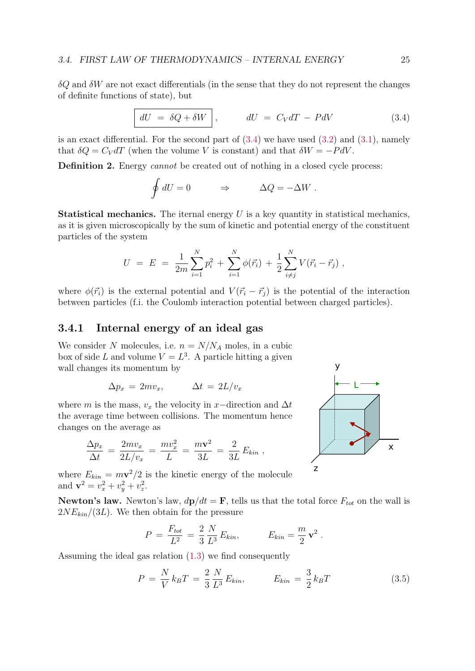$\delta Q$  and  $\delta W$  are not exact differentials (in the sense that they do not represent the changes of definite functions of state), but

$$
dU = \delta Q + \delta W \,, \qquad dU = C_V dT - P dV \tag{3.4}
$$

is an exact differential. For the second part of  $(3.4)$  we have used  $(3.2)$  and  $(3.1)$ , namely that  $\delta Q = C_V dT$  (when the volume V is constant) and that  $\delta W = -P dV$ .

Definition 2. Energy *cannot* be created out of nothing in a closed cycle process:

$$
\oint dU = 0 \qquad \Rightarrow \qquad \Delta Q = -\Delta W \; .
$$

**Statistical mechanics.** The iternal energy  $U$  is a key quantity in statistical mechanics, as it is given microscopically by the sum of kinetic and potential energy of the constituent particles of the system

$$
U = E = \frac{1}{2m} \sum_{i=1}^{N} p_i^2 + \sum_{i=1}^{N} \phi(\vec{r}_i) + \frac{1}{2} \sum_{i \neq j}^{N} V(\vec{r}_i - \vec{r}_j) ,
$$

where  $\phi(\vec{r}_i)$  is the external potential and  $V(\vec{r}_i - \vec{r}_j)$  is the potential of the interaction between particles (f.i. the Coulomb interaction potential between charged particles).

### 3.4.1 Internal energy of an ideal gas

We consider N molecules, i.e.  $n = N/N_A$  moles, in a cubic box of side L and volume  $V = L<sup>3</sup>$ . A particle hitting a given wall changes its momentum by

$$
\Delta p_x = 2mv_x, \qquad \Delta t = 2L/v_x
$$

where m is the mass,  $v_x$  the velocity in x-direction and  $\Delta t$ the average time between collisions. The momentum hence changes on the average as

$$
\frac{\Delta p_x}{\Delta t} = \frac{2mv_x}{2L/v_x} = \frac{mv_x^2}{L} = \frac{m\mathbf{v}^2}{3L} = \frac{2}{3L} E_{kin} ,
$$

where  $E_{kin} = m\mathbf{v}^2/2$  is the kinetic energy of the molecule and  $\mathbf{v}^2 = v_x^2 + v_y^2 + v_z^2$ .

**Newton's law.** Newton's law,  $d\mathbf{p}/dt = \mathbf{F}$ , tells us that the total force  $F_{tot}$  on the wall is  $2NE_{kin}/(3L)$ . We then obtain for the pressure

$$
P = \frac{F_{tot}}{L^2} = \frac{2}{3} \frac{N}{L^3} E_{kin}, \qquad E_{kin} = \frac{m}{2} \mathbf{v}^2.
$$

Assuming the ideal gas relation (1.3) we find consequently

$$
P = \frac{N}{V} k_B T = \frac{2}{3} \frac{N}{L^3} E_{kin}, \qquad E_{kin} = \frac{3}{2} k_B T \qquad (3.5)
$$

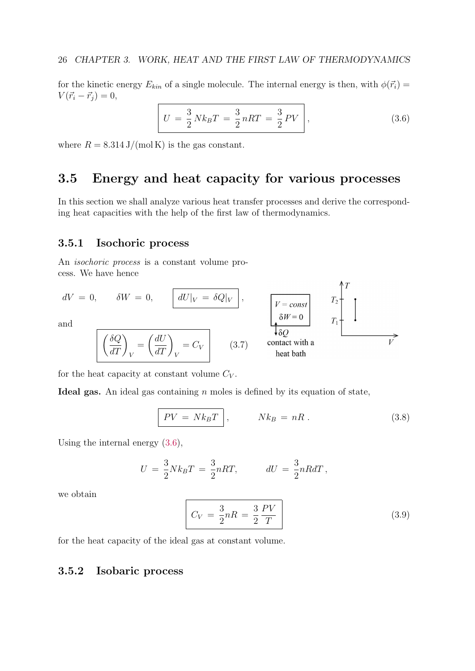for the kinetic energy  $E_{kin}$  of a single molecule. The internal energy is then, with  $\phi(\vec{r}_i)$  =  $V(\vec{r}_i - \vec{r}_j) = 0,$ 

$$
U = \frac{3}{2} N k_B T = \frac{3}{2} nRT = \frac{3}{2} PV \,, \tag{3.6}
$$

where  $R = 8.314 \text{ J/(mol K)}$  is the gas constant.

## 3.5 Energy and heat capacity for various processes

In this section we shall analyze various heat transfer processes and derive the corresponding heat capacities with the help of the first law of thermodynamics.

## 3.5.1 Isochoric process

An isochoric process is a constant volume process. We have hence

$$
dV = 0, \t \delta W = 0, \t \frac{dU|_V = \delta Q|_V}{\delta W} ,
$$
  
and  

$$
\begin{bmatrix}\n\delta Q \\
\delta T\n\end{bmatrix}_V = \left(\frac{dU}{dT}\right)_V = C_V
$$
\n(3.7) contact with a heat bath

for the heat capacity at constant volume  $C_V$ .

Ideal gas. An ideal gas containing  $n$  moles is defined by its equation of state,

$$
\boxed{PV = Nk_BT}, \qquad Nk_B = nR. \qquad (3.8)
$$

Using the internal energy (3.6),

$$
U = \frac{3}{2} N k_B T = \frac{3}{2} nRT, \qquad dU = \frac{3}{2} nR dT,
$$

we obtain

$$
C_V = \frac{3}{2}nR = \frac{3}{2}\frac{PV}{T}
$$
\n
$$
(3.9)
$$

for the heat capacity of the ideal gas at constant volume.

#### 3.5.2 Isobaric process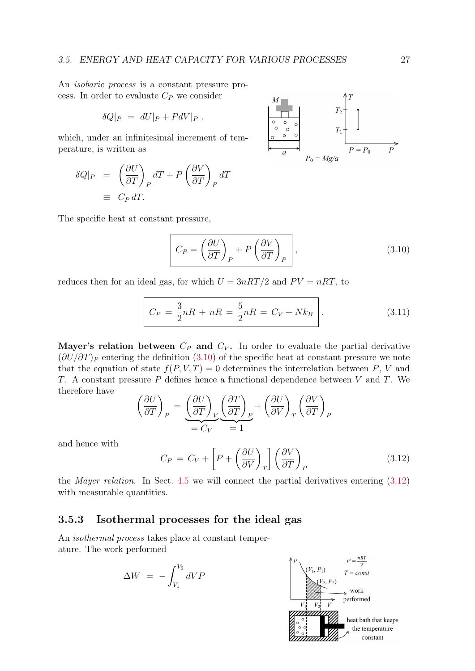An isobaric process is a constant pressure process. In order to evaluate  $C_P$  we consider

$$
\delta Q|_P = dU|_P + PdV|_P,
$$

which, under an infinitesimal increment of temperature, is written as

$$
\delta Q|_{P} = \left(\frac{\partial U}{\partial T}\right)_{P} dT + P\left(\frac{\partial V}{\partial T}\right)_{P} dT
$$

$$
\equiv C_{P} dT.
$$

The specific heat at constant pressure,

$$
C_P = \left(\frac{\partial U}{\partial T}\right)_P + P\left(\frac{\partial V}{\partial T}\right)_P,
$$
\n(3.10)

reduces then for an ideal gas, for which  $U = 3nRT/2$  and  $PV = nRT$ , to

$$
C_P = \frac{3}{2}nR + nR = \frac{5}{2}nR = C_V + Nk_B
$$
 (3.11)

Mayer's relation between  $C_P$  and  $C_V$ . In order to evaluate the partial derivative  $(\partial U/\partial T)_P$  entering the definition (3.10) of the specific heat at constant pressure we note that the equation of state  $f(P, V, T) = 0$  determines the interrelation between P, V and T. A constant pressure  $P$  defines hence a functional dependence between  $V$  and  $T$ . We therefore have

$$
\left(\frac{\partial U}{\partial T}\right)_P = \underbrace{\left(\frac{\partial U}{\partial T}\right)_V}_{= C_V} \underbrace{\left(\frac{\partial T}{\partial T}\right)_P}_{= 1} + \left(\frac{\partial U}{\partial V}\right)_T \left(\frac{\partial V}{\partial T}\right)_P
$$

and hence with

$$
C_P = C_V + \left[ P + \left( \frac{\partial U}{\partial V} \right)_T \right] \left( \frac{\partial V}{\partial T} \right)_P \tag{3.12}
$$

the Mayer relation. In Sect. 4.5 we will connect the partial derivatives entering (3.12) with measurable quantities.

## 3.5.3 Isothermal processes for the ideal gas

An isothermal process takes place at constant temperature. The work performed

$$
\Delta W = -\int_{V_1}^{V_2} dVP
$$



$$
\begin{array}{c|c}\nM & & & & T_2 \\
\hline\n0 & 0 & 0 \\
0 & 0 & 0 \\
\hline\na & 0 & 0 \\
\hline\nP_0 = Mg/a\n\end{array}
$$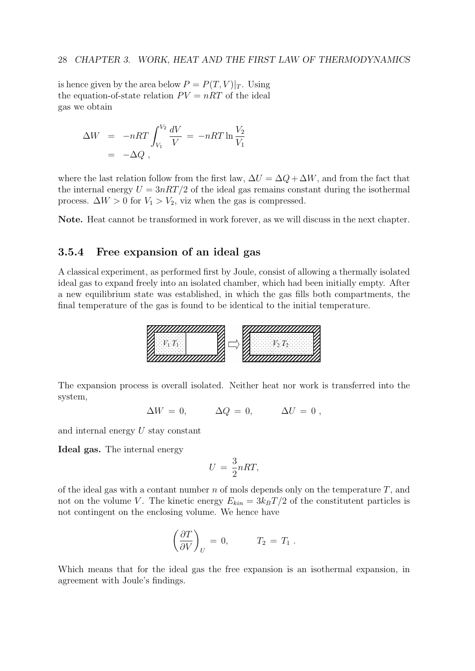is hence given by the area below  $P = P(T, V)|_T$ . Using the equation-of-state relation  $PV = nRT$  of the ideal gas we obtain

$$
\Delta W = -nRT \int_{V_1}^{V_2} \frac{dV}{V} = -nRT \ln \frac{V_2}{V_1}
$$
  
= -\Delta Q,

where the last relation follow from the first law,  $\Delta U = \Delta Q + \Delta W$ , and from the fact that the internal energy  $U = 3nRT/2$  of the ideal gas remains constant during the isothermal process.  $\Delta W > 0$  for  $V_1 > V_2$ , viz when the gas is compressed.

Note. Heat cannot be transformed in work forever, as we will discuss in the next chapter.

## 3.5.4 Free expansion of an ideal gas

A classical experiment, as performed first by Joule, consist of allowing a thermally isolated ideal gas to expand freely into an isolated chamber, which had been initially empty. After a new equilibrium state was established, in which the gas fills both compartments, the final temperature of the gas is found to be identical to the initial temperature.



The expansion process is overall isolated. Neither heat nor work is transferred into the system,

 $\Delta W = 0, \qquad \Delta Q = 0, \qquad \Delta U = 0,$ 

and internal energy U stay constant

Ideal gas. The internal energy

$$
U = \frac{3}{2}nRT,
$$

of the ideal gas with a contant number  $n$  of mols depends only on the temperature  $T$ , and not on the volume V. The kinetic energy  $E_{kin} = 3k_BT/2$  of the constitutent particles is not contingent on the enclosing volume. We hence have

$$
\left(\frac{\partial T}{\partial V}\right)_U = 0, \qquad T_2 = T_1.
$$

Which means that for the ideal gas the free expansion is an isothermal expansion, in agreement with Joule's findings.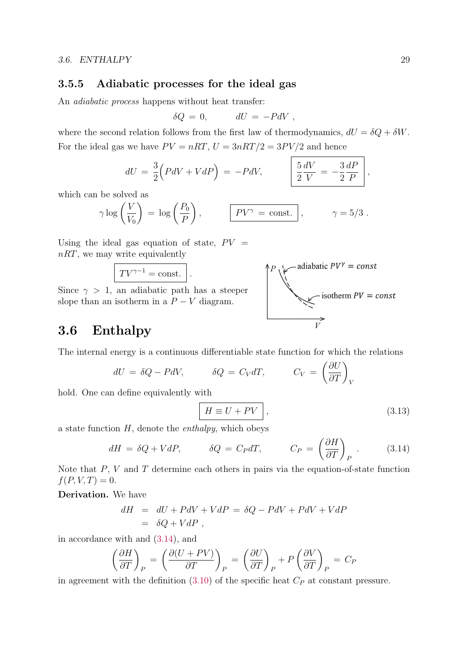### 3.5.5 Adiabatic processes for the ideal gas

An adiabatic process happens without heat transfer:

$$
\delta Q = 0, \qquad dU = -PdV,
$$

where the second relation follows from the first law of thermodynamics,  $dU = \delta Q + \delta W$ . For the ideal gas we have  $PV = nRT$ ,  $U = 3nRT/2 = 3PV/2$  and hence

$$
dU = \frac{3}{2} \Big( P dV + V dP \Big) = -P dV, \qquad \left| \frac{5}{2} \frac{dV}{V} = -\frac{3}{2} \frac{dP}{P} \right|,
$$

which can be solved as

$$
\gamma \log \left( \frac{V}{V_0} \right) = \log \left( \frac{P_0}{P} \right), \qquad \boxed{PV^{\gamma} = \text{const.}}, \qquad \gamma = 5/3.
$$

Using the ideal gas equation of state,  $PV =$ nRT, we may write equivalently

$$
TV^{\gamma-1} = \text{const.} \ .
$$

Since  $\gamma > 1$ , an adiabatic path has a steeper slope than an isotherm in a  $P - V$  diagram.



## 3.6 Enthalpy

The internal energy is a continuous differentiable state function for which the relations

$$
dU = \delta Q - P dV, \qquad \delta Q = C_V dT, \qquad C_V = \left(\frac{\partial U}{\partial T}\right)_V
$$

hold. One can define equivalently with

$$
H \equiv U + PV \quad , \tag{3.13}
$$

a state function  $H$ , denote the *enthalpy*, which obeys

$$
dH = \delta Q + VdP, \qquad \delta Q = C_P dT, \qquad C_P = \left(\frac{\partial H}{\partial T}\right)_P. \qquad (3.14)
$$

Note that  $P$ ,  $V$  and  $T$  determine each others in pairs via the equation-of-state function  $f(P, V, T) = 0.$ 

Derivation. We have

$$
dH = dU + PdV + VdP = \delta Q - PdV + PdV + VdP
$$
  
=  $\delta Q + VdP$ ,

in accordance with and (3.14), and

$$
\left(\frac{\partial H}{\partial T}\right)_P = \left(\frac{\partial (U+PV)}{\partial T}\right)_P = \left(\frac{\partial U}{\partial T}\right)_P + P\left(\frac{\partial V}{\partial T}\right)_P = C_P
$$

in agreement with the definition  $(3.10)$  of the specific heat  $C_P$  at constant pressure.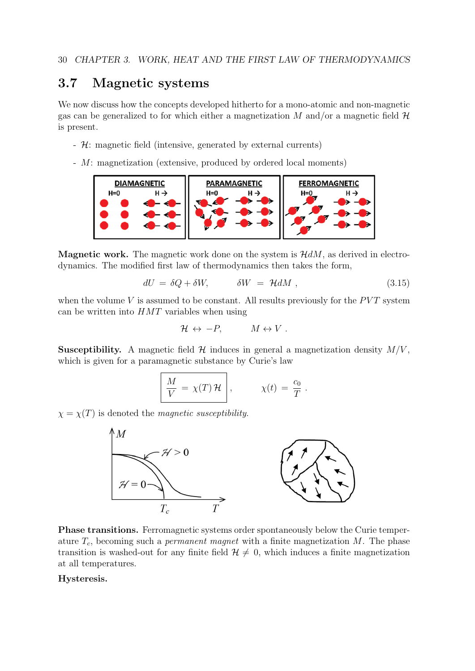# 3.7 Magnetic systems

We now discuss how the concepts developed hitherto for a mono-atomic and non-magnetic gas can be generalized to for which either a magnetization M and/or a magnetic field  $\mathcal{H}$ is present.

- H: magnetic field (intensive, generated by external currents)
- M: magnetization (extensive, produced by ordered local moments)



**Magnetic work.** The magnetic work done on the system is  $\mathcal{H}dM$ , as derived in electrodynamics. The modified first law of thermodynamics then takes the form,

$$
dU = \delta Q + \delta W, \qquad \delta W = \mathcal{H} dM , \qquad (3.15)
$$

when the volume  $V$  is assumed to be constant. All results previously for the  $PVT$  system can be written into  $HMT$  variables when using

$$
\mathcal{H} \leftrightarrow -P, \qquad M \leftrightarrow V.
$$

**Susceptibility.** A magnetic field  $H$  induces in general a magnetization density  $M/V$ , which is given for a paramagnetic substance by Curie's law

$$
\frac{M}{V} = \chi(T) \mathcal{H}, \qquad \chi(t) = \frac{c_0}{T}.
$$

 $\chi = \chi(T)$  is denoted the *magnetic susceptibility*.



Phase transitions. Ferromagnetic systems order spontaneously below the Curie temperature  $T_c$ , becoming such a *permanent magnet* with a finite magnetization  $M$ . The phase transition is washed-out for any finite field  $\mathcal{H} \neq 0$ , which induces a finite magnetization at all temperatures.

#### Hysteresis.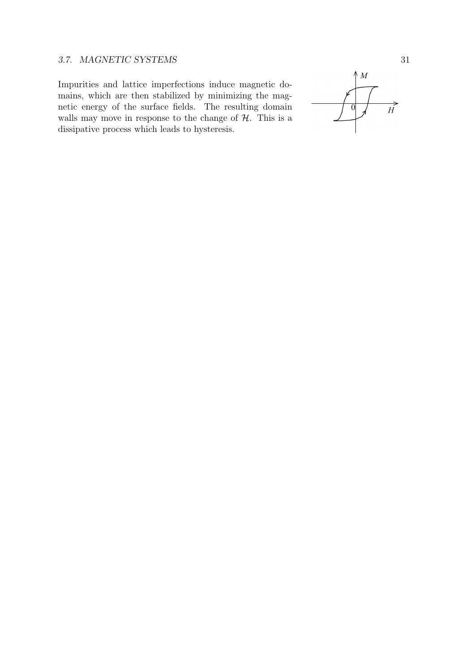## 3.7. MAGNETIC SYSTEMS 31

Impurities and lattice imperfections induce magnetic domains, which are then stabilized by minimizing the magnetic energy of the surface fields. The resulting domain walls may move in response to the change of  $H$ . This is a dissipative process which leads to hysteresis.